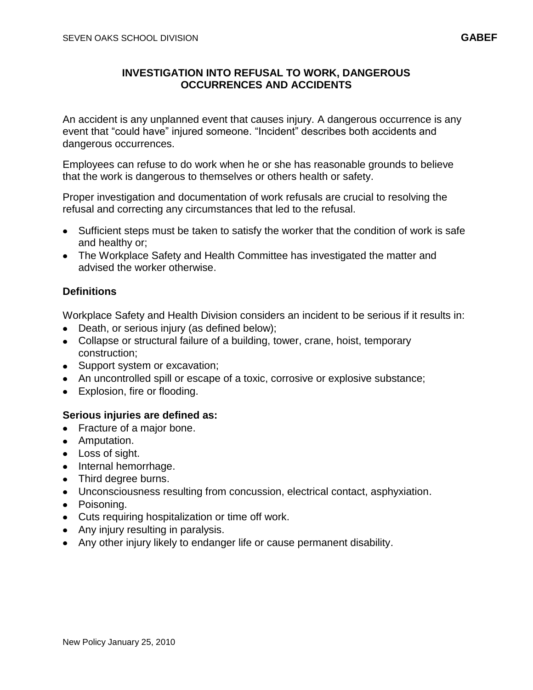## **INVESTIGATION INTO REFUSAL TO WORK, DANGEROUS OCCURRENCES AND ACCIDENTS**

An accident is any unplanned event that causes injury. A dangerous occurrence is any event that "could have" injured someone. "Incident" describes both accidents and dangerous occurrences.

Employees can refuse to do work when he or she has reasonable grounds to believe that the work is dangerous to themselves or others health or safety.

Proper investigation and documentation of work refusals are crucial to resolving the refusal and correcting any circumstances that led to the refusal.

- Sufficient steps must be taken to satisfy the worker that the condition of work is safe and healthy or;
- The Workplace Safety and Health Committee has investigated the matter and advised the worker otherwise.

## **Definitions**

Workplace Safety and Health Division considers an incident to be serious if it results in:

- Death, or serious injury (as defined below);
- Collapse or structural failure of a building, tower, crane, hoist, temporary construction;
- Support system or excavation;
- An uncontrolled spill or escape of a toxic, corrosive or explosive substance;
- Explosion, fire or flooding.

## **Serious injuries are defined as:**

- Fracture of a major bone.
- Amputation.
- Loss of sight.
- Internal hemorrhage.
- Third degree burns.
- Unconsciousness resulting from concussion, electrical contact, asphyxiation.
- Poisoning.
- Cuts requiring hospitalization or time off work.
- Any injury resulting in paralysis.
- Any other injury likely to endanger life or cause permanent disability.